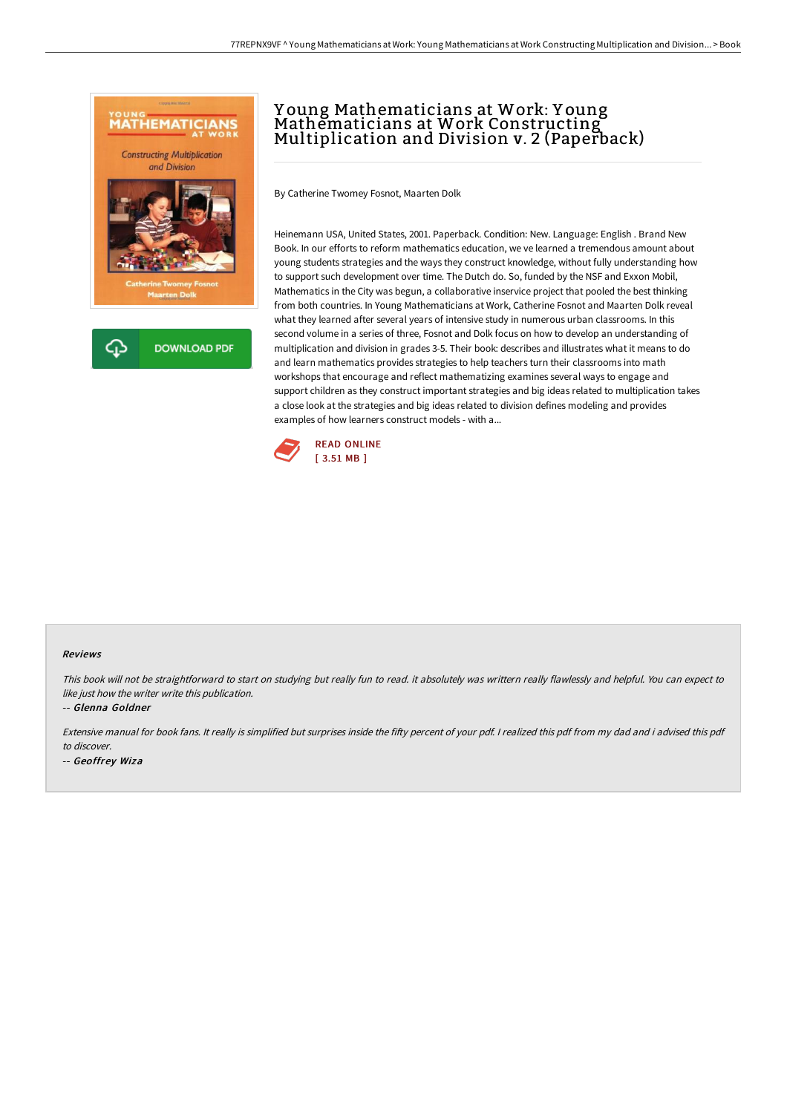

# <sup>Y</sup> oung Mathematicians at Work: <sup>Y</sup> oung Mathematicians at Work Constructing Multiplication and Division v. <sup>2</sup> (Paperback)

By Catherine Twomey Fosnot, Maarten Dolk

Heinemann USA, United States, 2001. Paperback. Condition: New. Language: English . Brand New Book. In our efforts to reform mathematics education, we ve learned a tremendous amount about young students strategies and the ways they construct knowledge, without fully understanding how to support such development over time. The Dutch do. So, funded by the NSF and Exxon Mobil, Mathematics in the City was begun, a collaborative inservice project that pooled the best thinking from both countries. In Young Mathematicians at Work, Catherine Fosnot and Maarten Dolk reveal what they learned after several years of intensive study in numerous urban classrooms. In this second volume in a series of three, Fosnot and Dolk focus on how to develop an understanding of multiplication and division in grades 3-5. Their book: describes and illustrates what it means to do and learn mathematics provides strategies to help teachers turn their classrooms into math workshops that encourage and reflect mathematizing examines several ways to engage and support children as they construct important strategies and big ideas related to multiplication takes a close look at the strategies and big ideas related to division defines modeling and provides examples of how learners construct models - with a...



#### Reviews

This book will not be straightforward to start on studying but really fun to read. it absolutely was writtern really flawlessly and helpful. You can expect to like just how the writer write this publication.

-- Glenna Goldner

Extensive manual for book fans. It really is simplified but surprises inside the fifty percent of your pdf. I realized this pdf from my dad and i advised this pdf to discover.

-- Geoffrey Wiza